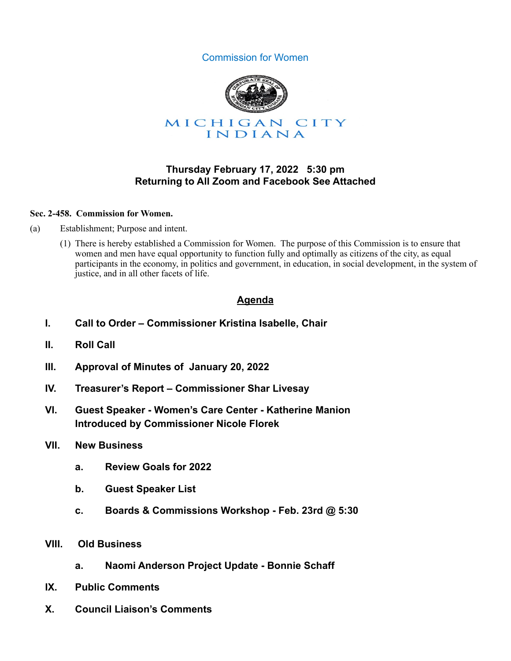



## **Thursday February 17, 2022 5:30 pm Returning to All Zoom and Facebook See Attached**

#### **Sec. 2-458. Commission for Women.**

- (a) Establishment; Purpose and intent.
	- (1) There is hereby established a Commission for Women. The purpose of this Commission is to ensure that women and men have equal opportunity to function fully and optimally as citizens of the city, as equal participants in the economy, in politics and government, in education, in social development, in the system of justice, and in all other facets of life.

# **Agenda**

- **I. Call to Order Commissioner Kristina Isabelle, Chair**
- **II. Roll Call**
- **III. Approval of Minutes of January 20, 2022**
- **IV. Treasurer's Report Commissioner Shar Livesay**
- **VI. Guest Speaker Women's Care Center Katherine Manion Introduced by Commissioner Nicole Florek**
- **VII. New Business** 
	- **a. Review Goals for 2022**
	- **b. Guest Speaker List**
	- **c. Boards & Commissions Workshop Feb. 23rd @ 5:30**
- **VIII. Old Business** 
	- **a. Naomi Anderson Project Update Bonnie Schaff**
- **IX. Public Comments**
- **X. Council Liaison's Comments**